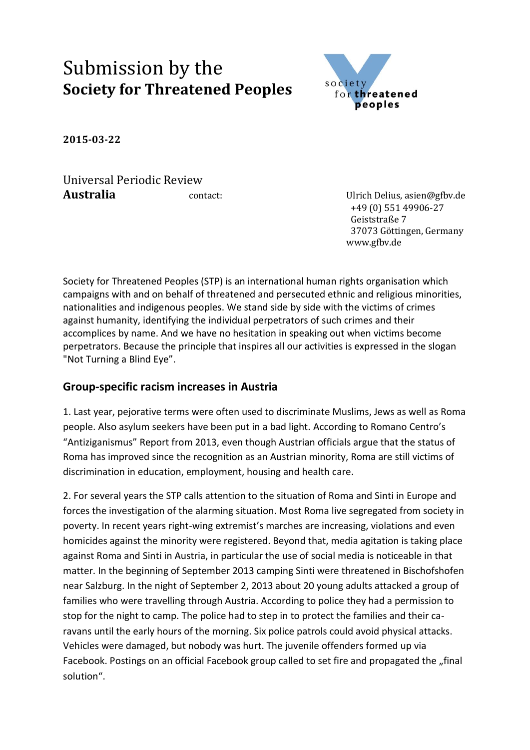## Submission by the **Society for Threatened Peoples**



**2015-03-22**

Universal Periodic Review **Australia** contact: Ulrich Delius, asien@gfbv.de

 +49 (0) 551 49906-27 Geiststraße 7 37073 Göttingen, Germany www.gfbv.de

Society for Threatened Peoples (STP) is an international human rights organisation which campaigns with and on behalf of threatened and persecuted ethnic and religious minorities, nationalities and indigenous peoples. We stand side by side with the victims of crimes against humanity, identifying the individual perpetrators of such crimes and their accomplices by name. And we have no hesitation in speaking out when victims become perpetrators. Because the principle that inspires all our activities is expressed in the slogan "Not Turning a Blind Eye".

## **Group-specific racism increases in Austria**

1. Last year, pejorative terms were often used to discriminate Muslims, Jews as well as Roma people. Also asylum seekers have been put in a bad light. According to Romano Centro's "Antiziganismus" Report from 2013, even though Austrian officials argue that the status of Roma has improved since the recognition as an Austrian minority, Roma are still victims of discrimination in education, employment, housing and health care.

2. For several years the STP calls attention to the situation of Roma and Sinti in Europe and forces the investigation of the alarming situation. Most Roma live segregated from society in poverty. In recent years right-wing extremist's marches are increasing, violations and even homicides against the minority were registered. Beyond that, media agitation is taking place against Roma and Sinti in Austria, in particular the use of social media is noticeable in that matter. In the beginning of September 2013 camping Sinti were threatened in Bischofshofen near Salzburg. In the night of September 2, 2013 about 20 young adults attacked a group of families who were travelling through Austria. According to police they had a permission to stop for the night to camp. The police had to step in to protect the families and their caravans until the early hours of the morning. Six police patrols could avoid physical attacks. Vehicles were damaged, but nobody was hurt. The juvenile offenders formed up via Facebook. Postings on an official Facebook group called to set fire and propagated the "final solution".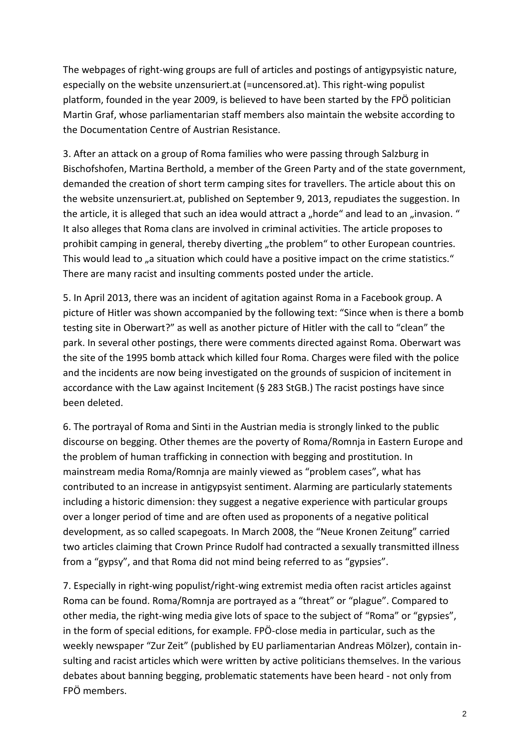The webpages of right-wing groups are full of articles and postings of antigypsyistic nature, especially on the website unzensuriert.at (=uncensored.at). This right-wing populist platform, founded in the year 2009, is believed to have been started by the FPÖ politician Martin Graf, whose parliamentarian staff members also maintain the website according to the Documentation Centre of Austrian Resistance.

3. After an attack on a group of Roma families who were passing through Salzburg in Bischofshofen, Martina Berthold, a member of the Green Party and of the state government, demanded the creation of short term camping sites for travellers. The article about this on the website unzensuriert.at, published on September 9, 2013, repudiates the suggestion. In the article, it is alleged that such an idea would attract a "horde" and lead to an "invasion. " It also alleges that Roma clans are involved in criminal activities. The article proposes to prohibit camping in general, thereby diverting "the problem" to other European countries. This would lead to "a situation which could have a positive impact on the crime statistics." There are many racist and insulting comments posted under the article.

5. In April 2013, there was an incident of agitation against Roma in a Facebook group. A picture of Hitler was shown accompanied by the following text: "Since when is there a bomb testing site in Oberwart?" as well as another picture of Hitler with the call to "clean" the park. In several other postings, there were comments directed against Roma. Oberwart was the site of the 1995 bomb attack which killed four Roma. Charges were filed with the police and the incidents are now being investigated on the grounds of suspicion of incitement in accordance with the Law against Incitement (§ 283 StGB.) The racist postings have since been deleted.

6. The portrayal of Roma and Sinti in the Austrian media is strongly linked to the public discourse on begging. Other themes are the poverty of Roma/Romnja in Eastern Europe and the problem of human trafficking in connection with begging and prostitution. In mainstream media Roma/Romnja are mainly viewed as "problem cases", what has contributed to an increase in antigypsyist sentiment. Alarming are particularly statements including a historic dimension: they suggest a negative experience with particular groups over a longer period of time and are often used as proponents of a negative political development, as so called scapegoats. In March 2008, the "Neue Kronen Zeitung" carried two articles claiming that Crown Prince Rudolf had contracted a sexually transmitted illness from a "gypsy", and that Roma did not mind being referred to as "gypsies".

7. Especially in right-wing populist/right-wing extremist media often racist articles against Roma can be found. Roma/Romnja are portrayed as a "threat" or "plague". Compared to other media, the right-wing media give lots of space to the subject of "Roma" or "gypsies", in the form of special editions, for example. FPÖ-close media in particular, such as the weekly newspaper "Zur Zeit" (published by EU parliamentarian Andreas Mölzer), contain insulting and racist articles which were written by active politicians themselves. In the various debates about banning begging, problematic statements have been heard - not only from FPÖ members.